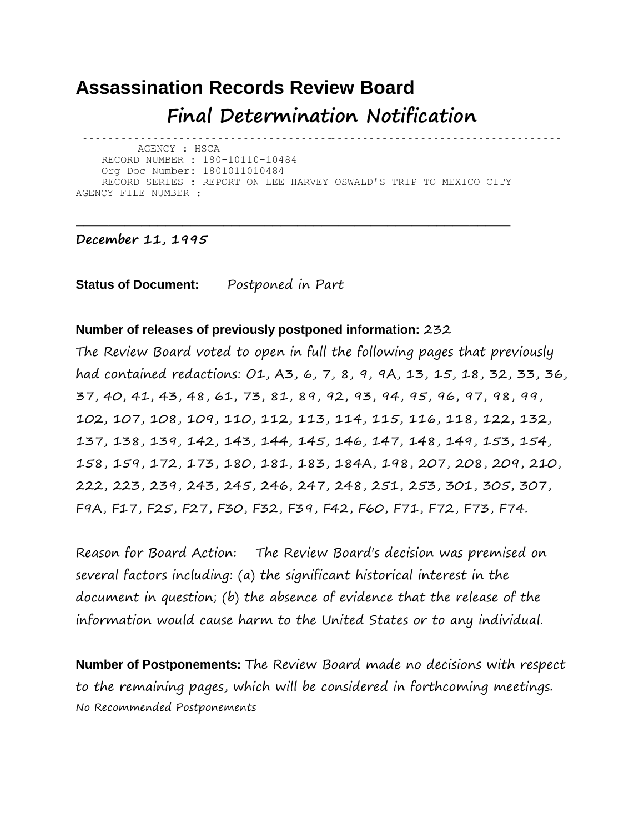## **Assassination Records Review Board Final Determination Notification**

- - - - - - - - - - - - - - - - - - - - - - - - - - - - - - - - - - - - - - -- - - - - - - - - - - - - - - - - - - - - - - - - - - - - - - - - - - - AGENCY : HSCA RECORD NUMBER : 180-10110-10484 Org Doc Number: 1801011010484 RECORD SERIES : REPORT ON LEE HARVEY OSWALD'S TRIP TO MEXICO CITY AGENCY FILE NUMBER :

**\_\_\_\_\_\_\_\_\_\_\_\_\_\_\_\_\_\_\_\_\_\_\_\_\_\_\_\_\_\_\_\_\_\_\_\_\_\_\_\_\_\_\_\_\_\_\_\_\_\_\_\_\_**

## **December 11, 1995**

**Status of Document:** Postponed in Part

## **Number of releases of previously postponed information:** 232

The Review Board voted to open in full the following pages that previously had contained redactions: O1, A3, 6, 7, 8, 9, 9A, 13, 15, 18, 32, 33, 36, 37, 40, 41, 43, 48, 61, 73, 81, 89, 92, 93, 94, 95, 96, 97, 98, 99, 102, 107, 108, 109, 110, 112, 113, 114, 115, 116, 118, 122, 132, 137, 138, 139, 142, 143, 144, 145, 146, 147, 148, 149, 153, 154, 158, 159, 172, 173, 180, 181, 183, 184A, 198, 207, 208, 209, 210, 222, 223, 239, 243, 245, 246, 247, 248, 251, 253, 301, 305, 307, F9A, F17, F25, F27, F30, F32, F39, F42, F60, F71, F72, F73, F74.

Reason for Board Action: The Review Board's decision was premised on several factors including: (a) the significant historical interest in the document in question; (b) the absence of evidence that the release of the information would cause harm to the United States or to any individual.

**Number of Postponements:** The Review Board made no decisions with respect to the remaining pages, which will be considered in forthcoming meetings. No Recommended Postponements